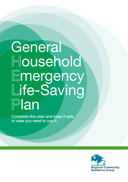# mergency **General** Household ife-Saving Plan

Complete this plan and keep it safe in case you need to use it

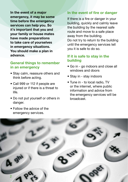**In the event of a major emergency, it may be some time before the emergency services can help you. So it's important that you and your family or house mates have made preparations to take care of yourselves in emergency situations. You should make a plan in advance.**

#### **General things to remember in an emergency**

- Stay calm, reassure others and think before acting.
- Call 999 or 112 if people are injured or if there is a threat to life.
- Do not put yourself or others in danger.
- Follow the advice of the emergency services.

### **In the event of fire or danger**

If there is a fire or danger in your building, quickly and calmly leave the building by the nearest safe route and move to a safe place away from the building. Do not try to return to the building until the emergency services tell you it is safe to do so.

#### **If it is safe to stay in the building**

- Go in go indoors and close all windows and doors
- Stay in stay indoors
- Tune in to local radio, TV or the internet, where public information and advice from the emergency services will be broadcast.

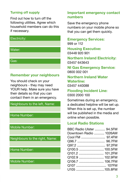### **Turning off supply**

Find out how to turn off the following utilities. Agree which household members can do this if necessary.



# **Remember your neighbours**

You should check on your neighbours - they may need YOUR help. Make sure you have their details so that you can contact them in an emergency.

#### Neighbours to the left, Name:

#### Home Number:

Mobile Number:

Neighbours to the right, Name:

#### Home Number:

Mobile Number:

#### **Important emergency contact numbers**

Save the emergency phone numbers on your mobile phone so that you can get them quickly.

#### **Emergency Services:**

999 or 112

**Housing Executive:** 03448 920 901

**Northern Ireland Electricity:** 03457 643643

**NI Gas Emergency Service:** 0800 002 001

# **Northern Ireland Water Waterline:**

03457 440088

#### **Flooding Incident Line:** 0300 2000 100

Sometimes during an emergency, a dedicated helpline will be set up. When this is set up, the number will be published in the media and online when possible.

# **Local Radio Stations**

| BBC Radio Ulster  94.5FM |  |
|--------------------------|--|
| Downtown Radio  1026AM   |  |
|                          |  |
|                          |  |
|                          |  |
|                          |  |
| Q101.2  101.2FM          |  |
|                          |  |
| Q106.7  106.7FM          |  |
|                          |  |
| U105 105.8FM             |  |
|                          |  |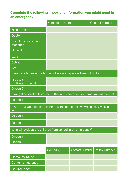## **Complete the following important information you might need in an emergency:**

|                                                                                      | Name or location | Contact number |  |  |  |
|--------------------------------------------------------------------------------------|------------------|----------------|--|--|--|
| Next of Kin                                                                          |                  |                |  |  |  |
| <b>Doctor</b>                                                                        |                  |                |  |  |  |
| Social worker or care<br>manager                                                     |                  |                |  |  |  |
| Council                                                                              |                  |                |  |  |  |
| <b>Work</b>                                                                          |                  |                |  |  |  |
| School                                                                               |                  |                |  |  |  |
| Vet                                                                                  |                  |                |  |  |  |
| If we have to leave our home or become separated we will go to:                      |                  |                |  |  |  |
| Option 1<br>(walking distance)                                                       |                  |                |  |  |  |
| Option 2                                                                             |                  |                |  |  |  |
| If we get separated from each other and cannot return home, we will meet at:         |                  |                |  |  |  |
| Option 1                                                                             |                  |                |  |  |  |
| If we are unable to get in contact with each other, we will leave a message<br>with: |                  |                |  |  |  |
| Option 1                                                                             |                  |                |  |  |  |
| Option 2                                                                             |                  |                |  |  |  |
| Who will pick up the children from school in an emergency?                           |                  |                |  |  |  |
| Option 1                                                                             |                  |                |  |  |  |
| Option 2                                                                             |                  |                |  |  |  |

|                    | Company | Contact Number Policy Number |  |
|--------------------|---------|------------------------------|--|
| Home Insurance     |         |                              |  |
| Contents Insurance |         |                              |  |
| Car Insurance      |         |                              |  |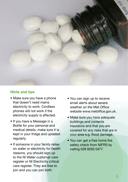

# **Hints and tips**

- Make sure you have a phone that doesn't need mains electricity to work. Cordless phones will not work if the electricity supply is affected.
- If you have a Message in a Bottle for your personal and medical details, make sure it is kept in your fridge and updated regularly.
- If someone in your family relies on water or electricity for health reasons, you should sign up to the NI Water customer care register or NI Electricity critical care register. They are free to join and you can join both.
- You can sign up to receive email alerts about severe weather on the Met Office website www.metoffice.gov.uk.
- Make sure you have adequate buildings and contents insurance and that you are covered for any risks that are in your area e.g. flood damage.
- You can get a free home fire safety check from NIFRS by calling 028 9260 0477.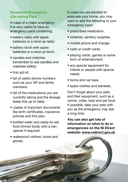#### **Household Emergency Life-saving Pack**

In case of a major emergency it is very useful to have an emergency pack containing:

- battery radio with spare batteries or a wind up radio.
- battery torch with spare batteries or a wind up torch.
- candles and matches (remember to use candles and matches safely).
- first aid kit.

6

- list of useful phone numbers such as your GP and family members.
- list of the medications you are currently taking and the dosage (keep this up to date).
- copies of important documents like birth certificates, insurance policies and this plan.
- bottled water and ready-to-eat food (tinned food), with a can opener if required.
- waterproof clothes, boots and gloves.

In case you are advised to evacuate your home, you may want to add the following to your emergency pack:

- prescribed medication.
- toiletries, sanitary supplies.
- mobile phone and charger.
- cash or credit cards.
- playing cards, games or some form of entertainment.
- any special equipment for infants or people with special needs.
- home and car keys.
- spare clothes and blankets.

Don't forget about your pets and their equipment, such as a carrier, collar, lead and pet food. If possible, take your pets with you as the emergency may last a long time.

**You can also get lots of information on what to do in emergencies on the NI Direct website: www.nidirect.gov.uk**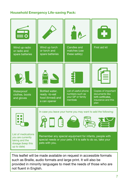#### **Household Emergency Life-saving Pack:**

| Wind up radio<br>or radio and<br>spare batteries                                               | Wind up torch<br>or torch and<br>spare batteries                                                                                           | Candles and<br>matches (use<br>these safely)                            | First aid kit                                                                              |  |
|------------------------------------------------------------------------------------------------|--------------------------------------------------------------------------------------------------------------------------------------------|-------------------------------------------------------------------------|--------------------------------------------------------------------------------------------|--|
|                                                                                                |                                                                                                                                            |                                                                         |                                                                                            |  |
| Waterproof<br>clothes, boots<br>and gloves                                                     | Bottled water,<br>ready -to-eat<br>food (tinned) and<br>a can opener                                                                       | List of useful phone<br>numbers such as<br>your GP or family<br>members | Copies of important<br>documents like<br>birth certificates.<br>insurance and this<br>plan |  |
|                                                                                                | In case you leave your home you may want to add the following:                                                                             |                                                                         |                                                                                            |  |
| List of medications<br>you are currently<br>taking and the<br>dosage (keep this<br>up to date) | Remember any special equipment for infants, people with<br>special needs or your pets. If it is safe to do so, take your<br>pets with you. |                                                                         |                                                                                            |  |

This leaflet will be made available on request in accessible formats such as Braille, audio formats and large print. It will also be provided in minority languages to meet the needs of those who are not fluent in English.